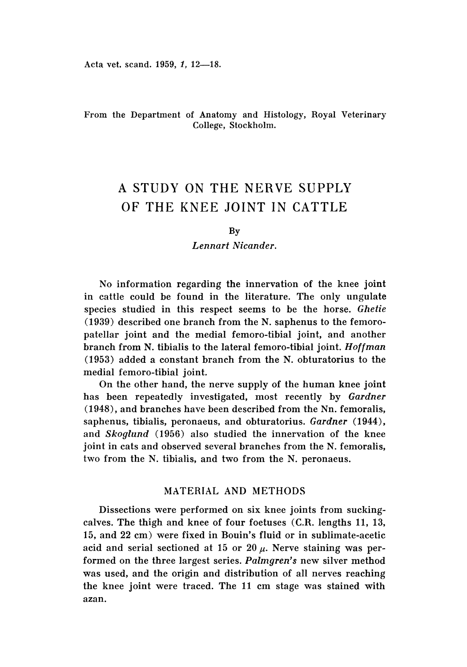Acta vet. scand. 1959, 1, 12-18.

## From the Department of Anatomy and Histology, Royal Veterinary College, Stockholm.

# A STUDY ON THE NERVE SUPPLY OF THE KNEE JOINT IN CATTLE

### By

## *Lennart Nicander.*

No information regarding the innervation of the knee joint in cattle could be found in the literature. The only ungulate species studied in this respect seems to be the horse. *Ghetie* (1939) described one branch from the N. saphenus to the femoropatellar joint and the medial femoro-tibial joint, and another branch from N. tibialis to the lateral femoro-tibial joint. *Hoffman* (1953) added a constant branch from the N. obturatorius to the medial femoro-tibial joint.

On the other hand, the nerve supply of the human knee joint has been repeatedly investigated, most recently by *Gardner* (1948), and branches have been described from the Nn, femoralis, saphenus, tibialis, peronaeus, and obturatorius. *Gardner (1944),* and *Skoglund* (1956) also studied the innervation of the knee joint in cats and observed several branches from the N. femoralis, two from the N. tibialis, and two from the N. peronaeus.

# MATERIAL AND METHODS

Dissections were performed on six knee joints from suckingcalves. The thigh and knee of four foetuses (C.R. lengths 11, 13, 15, and 22 em) were fixed in Bouin's fluid or in sublimate-acetic acid and serial sectioned at 15 or 20  $\mu$ . Nerve staining was performed on the three largest series. *Palmgren's* new silver method was used, and the origin and distribution of all nerves reaching the knee joint were traced. The 11 em stage was stained with azan,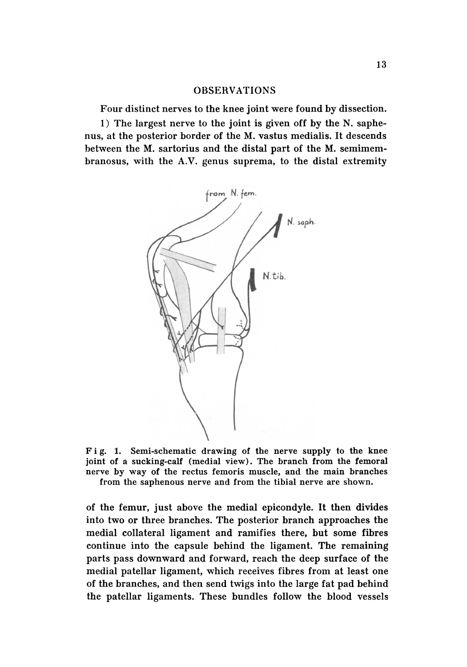## OBSERVATIONS

Four distinct nerves to the knee joint were found by dissection.

1) The largest nerve to the joint is given off by the N. saphenus, at the posterior border of the M. vastus medialis. It descends between the M. sartorius and the distal part of the M. semimembranosus, with the A.V. genus suprema, to the distal extremity



Fig. 1. Semi-schematic drawing of the nerve supply to the knee joint of a sucking-calf (medial view). The branch from the femoral nerve by way of the rectus femoris muscle, and the main branches from the saphenous nerve and from the tibial nerve are shown.

of the femur, just above the medial epicondyle. It then divides into two or three branches. The posterior branch approaches the medial collateral ligament and ramifies there, but some fibres continue into the capsule behind the ligament. The remaining parts pass downward and forward, reach the deep surface of the medial patellar ligament, which receives fibres from at least one of the branches, and then send twigs into the large fat pad behind the patellar ligaments. These bundles follow the blood vessels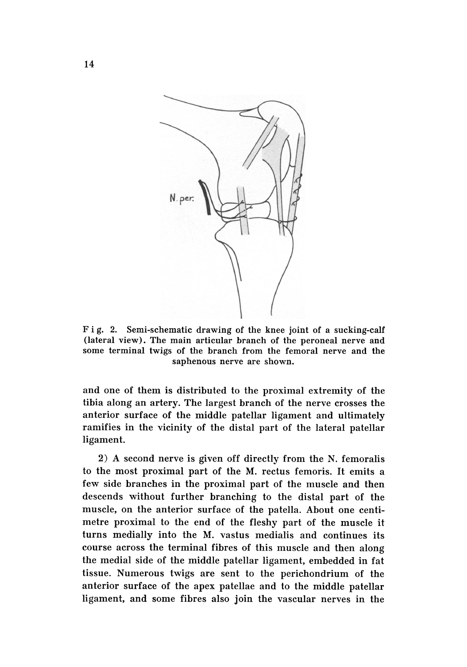

Fig. 2. Semi-schematic drawing of the knee joint of a sucking-calf (lateral view). The main articular branch of the peroneal nerve and some terminal twigs of the branch from the femoral nerve and the saphenous nerve are shown.

and one of them is distributed to the proximal extremity of the tibia along an artery. The largest branch of the nerve crosses the anterior surface of the middle patellar ligament and ultimately ramifies in the vicinity of the distal part of the lateral patellar ligament.

2) A second nerve is given off directly from the N. femoralis to the most proximal part of the M. rectus femoris. It emits a few side branches in the proximal part of the muscle and then descends without further branching to the distal part of the muscle, on the anterior surface of the patella. About one centimetre proximal to the end of the fleshy part of the muscle it turns medially into the M. vastus medialis and continues its course across the terminal fibres of this muscle and then along the medial side of the middle patellar ligament, embedded in fat tissue. Numerous twigs are sent to the perichondrium of the anterior surface of the apex patellae and to the middle patellar ligament, and some fibres also join the vascular nerves in the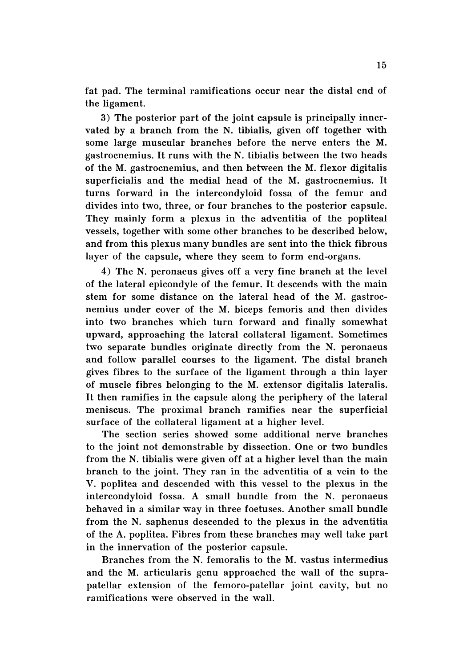fat pad. The terminal ramifications occur near the distal end of the ligament.

3) The posterior part of the joint capsule is principally innervated by a branch from the N. tibialis, given off together with some large muscular branches before the nerve enters the M. gastrocnemius. It runs with the N. tibialis between the two heads of the M. gastrocnemius, and then between the M. flexor digitalis superficialis and the medial head of the M. gastrocnemius. It turns forward in the intercondyloid fossa of the femur and divides into two, three, or four branches to the posterior capsule. They mainly form a plexus in the adventitia of the popliteal vessels, together with some other branches to be described below, and from this plexus many bundles are sent into the thick fibrous layer of the capsule, where they seem to form end-organs.

4) The N. peronaeus gives off a very fine branch at the level of the lateral epicondyle of the femur. It descends with the main stem for some distance on the lateral head of the M. gastrocnemius under cover of the M. biceps femoris and then divides into two branches which turn forward and finally somewhat upward, approaching the lateral collateral ligament. Sometimes two separate bundles originate directly from the N. peronaeus and follow parallel courses to the ligament. The distal branch gives fibres to the surface of the ligament through a thin layer of muscle fibres belonging to the M. extensor digitalis lateralis. It then ramifies in the capsule along the periphery of the lateral meniscus. The proximal branch ramifies near the superficial surface of the collateral ligament at a higher level.

The section series showed some additional nerve branches to the joint not demonstrable by dissection. One or two bundles from the N. tibialis were given off at a higher level than the main branch to the joint. They ran in the adventitia of a vein to the V. poplitea and descended with this vessel to the plexus in the intercondyloid fossa. A small bundle from the N. peronaeus behaved in a similar way in three foetuses. Another small bundle from the N. saphenus descended to the plexus in the adventitia of the A. poplitea. Fibres from these branches may well take part in the innervation of the posterior capsule.

Branches from the N. femoralis to the M. vastus intermedius and the M. articularis genu approached the wall of the suprapatellar extension of the femoro-patellar joint cavity, but no ramifications were observed in the wall.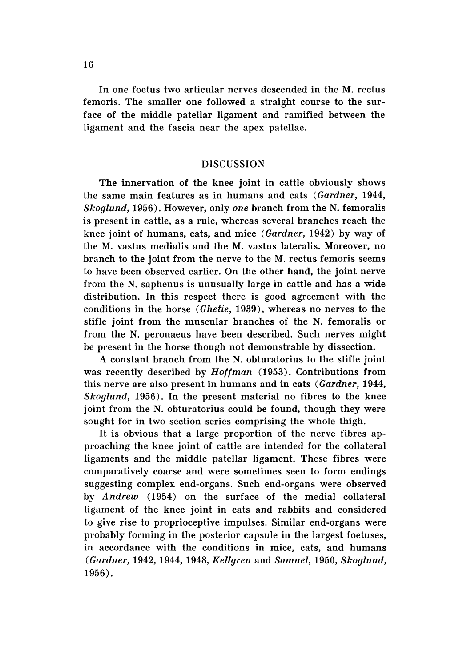In one foetus two articular nerves descended in the M. rectus femoris. The smaller one followed a straight course to the surface of the middle patellar ligament and ramified between the ligament and the fascia near the apex patellae.

## DISCUSSION

The innervation of the knee joint in cattle obviously shows the same main features as in humans and cats *(Gardner, 1944, Skoglund,* 1956). However, only *one* branch from the N. femoralis is present in cattle, as a rule, whereas several branches reach the knee joint of humans, cats, and mice *(Gardner,* 1942) by way of the M. vastus medialis and the M. vastus lateralis. Moreover, no branch to the joint from the nerve to the M. rectus femoris seems to have been observed earlier. On the other hand, the joint nerve from the N. saphenus is unusually large in cattle and has a wide distribution. In this respect there is good agreement with the conditions in the horse *(Ghetie,* 1939), whereas no nerves to the stifle joint from the muscular branches of the N. femoralis or from the N. peronaeus have been described. Such nerves might be present in the horse though not demonstrable by dissection.

A constant branch from the N. obturatorius to the stifle joint was recently described by *Hoffman* (1953). Contributions from this nerve are also present in humans and in cats *(Gardner, 1944, Skoglund,* 1956). In the present material no fibres to the knee joint from the N. obturatorius could be found, though they were sought for in two section series comprising the whole thigh.

It is obvious that a large proportion of the nerve fibres approaching the knee joint of cattle are intended for the collateral ligaments and the middle patellar ligament. These fibres were comparatively coarse and were sometimes seen to form endings suggesting complex end-organs. Such end-organs were observed by *Andrew* (1954) on the surface of the medial collateral ligament of the knee joint in cats and rabbits and considered to give rise to proprioceptive impulses. Similar end-organs were probably forming in the posterior capsule in the largest foetuses, in accordance with the conditions in mice, cats, and humans *(Gardner,* 1942, 1944, 1948, *Kellgren* and *Samuel,* 1950, *Skoglund,* 1956).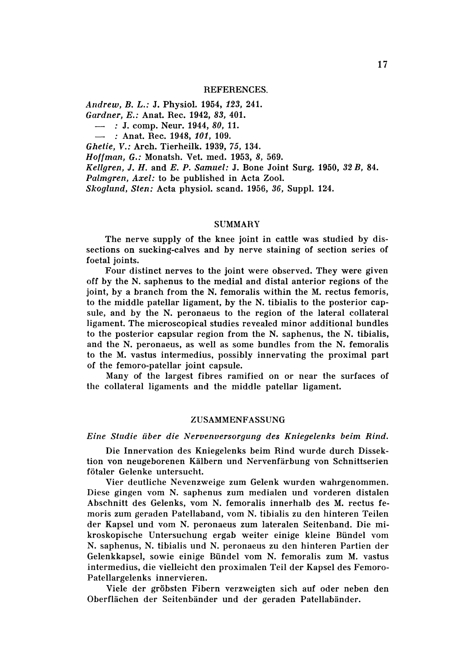#### REFERENCES.

*Andrew, B. L.:* J. Physio1. 1954, 123, 241.

*Gardner, E.:* Anat. Rec. 1942, 83, 401.

 $-$  : J. comp. Neur. 1944, 80, 11.

: Anat. Rec. 1948, *101, 109.*

*Ghetie, V.: Arch. Tierheilk. 1939, 75, 134.* 

*Hoffman, G.:* Monatsh. Vet. med. 1953, 8, 569.

*Kellgren,* J. *H.* and *E. P. Samuel:* J. Bone Joint Surg, 1950, 32 *B, 84.*

*Palmgren, Axel:* to be published in Acta Zoo1.

*Skoglund, Sten:* Acta physio1. scand. 1956, 36, Supp1. 124.

## SUMMARY

The nerve supply of the knee joint in cattle was studied by dissections on sucking-calves and by nerve staining of section series of foetal joints.

Four distinct nerves to the joint were observed. They were given off by the N. saphenus to the medial and distal anterior regions of the joint, by a branch from the N. femoralis within the M. rectus femoris, to the middle patellar ligament, by the N. tibialis to the posterior capsule, and by the N. peronaeus to the region of the lateral collateral ligament. The microscopical studies revealed minor additional bundles to the posterior capsular region from the N. saphenus, the N. tibialis, and the N. peronaeus, as well as some bundles from the N. femoralis to the M. vastus intermedius, possibly innervating the proximal part of the femoro-patellar joint capsule.

Many of the largest fibres ramified on or near the surfaces of the collateral ligaments and the middle patellar ligament.

### ZUSAMMENFASSUNG

*Eine Studie tiber die Nervenversorgung des Kniegelenks beim Rind.*

Die Innervation des Kniegelenks beim Rind wurde durch Dissektion von neugeborenen Kiilbern und Nervenfiirbung von Schnittserien fötaler Gelenke untersucht.

Vier deutliche Nevenzweige zum Gelenk wurden wahrgenommen. Diese gingen vom N. saphenus zum medialen und vorderen distalen Abschnitt des Gelenks, vom N. femoralis innerhalb des M. rectus femoris zum geraden Patellaband, vom N. tibialis zu den hinteren Teilen der Kapsel und vom N. peronaeus zum lateralen Seitenband. Die mikroskopische Untersuchung ergab we iter einige kleine Biindel vom N. sap henus, N. tibialis und N. peronaeus zu den hinteren Partien der Gelenkkapsel, sowie einige Bündel vom N. femoralis zum M. vastus intermedius, die vielleicht den proximalen Teil der Kapsel des Femoro-Patellargelenks innervieren.

Viele der gröbsten Fibern verzweigten sich auf oder neben den Oberflächen der Seitenbänder und der geraden Patellabänder.